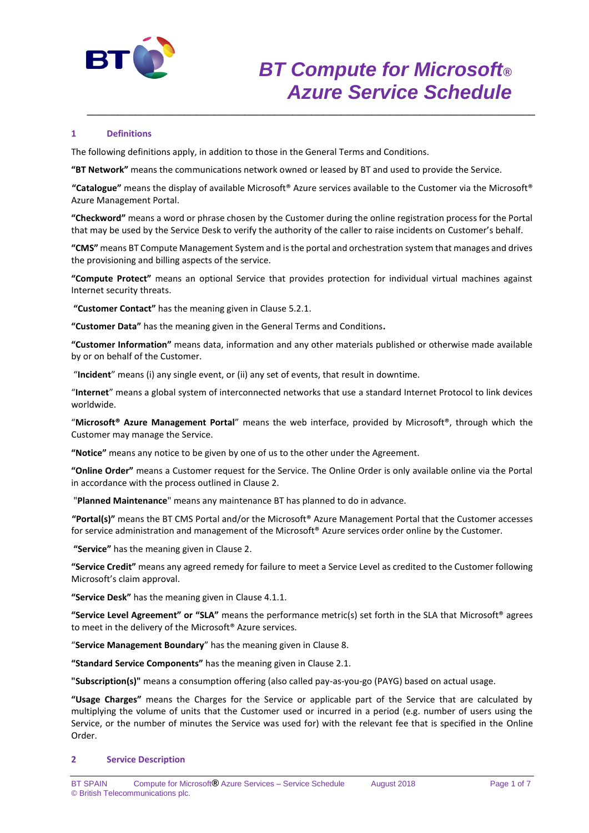

# **1 Definitions**

The following definitions apply, in addition to those in the General Terms and Conditions.

**"BT Network"** means the communications network owned or leased by BT and used to provide the Service.

**"Catalogue"** means the display of available Microsoft® Azure services available to the Customer via the Microsoft® Azure Management Portal.

\_\_\_\_\_\_\_\_\_\_\_\_\_\_\_\_\_\_\_\_\_\_\_\_\_\_\_\_\_\_\_\_\_\_\_\_\_\_\_\_\_\_\_\_\_\_\_\_\_\_\_\_\_\_\_\_\_\_\_\_\_\_\_\_\_\_\_\_\_\_\_\_\_\_

**"Checkword"** means a word or phrase chosen by the Customer during the online registration process for the Portal that may be used by the Service Desk to verify the authority of the caller to raise incidents on Customer's behalf.

**"CMS"** means BT Compute Management System and is the portal and orchestration system that manages and drives the provisioning and billing aspects of the service.

**"Compute Protect"** means an optional Service that provides protection for individual virtual machines against Internet security threats.

**"Customer Contact"** has the meaning given in Clause 5.2.1.

**"Customer Data"** has the meaning given in the General Terms and Conditions**.**

**"Customer Information"** means data, information and any other materials published or otherwise made available by or on behalf of the Customer.

"**Incident**" means (i) any single event, or (ii) any set of events, that result in downtime.

"**Internet**" means a global system of interconnected networks that use a standard Internet Protocol to link devices worldwide.

"**Microsoft® Azure Management Portal**" means the web interface, provided by Microsoft®, through which the Customer may manage the Service.

**"Notice"** means any notice to be given by one of us to the other under the Agreement.

**"Online Order"** means a Customer request for the Service. The Online Order is only available online via the Portal in accordance with the process outlined in Clause 2.

"**Planned Maintenance**" means any maintenance BT has planned to do in advance.

**"Portal(s)"** means the BT CMS Portal and/or the Microsoft® Azure Management Portal that the Customer accesses for service administration and management of the Microsoft® Azure services order online by the Customer.

**"Service"** has the meaning given in Clause 2.

**"Service Credit"** means any agreed remedy for failure to meet a Service Level as credited to the Customer following Microsoft's claim approval.

**"Service Desk"** has the meaning given in Clause 4.1.1.

**"Service Level Agreement" or "SLA"** means the performance metric(s) set forth in the SLA that Microsoft® agrees to meet in the delivery of the Microsoft® Azure services.

"**Service Management Boundary**" has the meaning given in Clause 8.

**"Standard Service Components"** has the meaning given in Clause 2.1.

**"Subscription(s)"** means a consumption offering (also called pay-as-you-go (PAYG) based on actual usage.

**"Usage Charges"** means the Charges for the Service or applicable part of the Service that are calculated by multiplying the volume of units that the Customer used or incurred in a period (e.g. number of users using the Service, or the number of minutes the Service was used for) with the relevant fee that is specified in the Online Order.

#### **2 Service Description**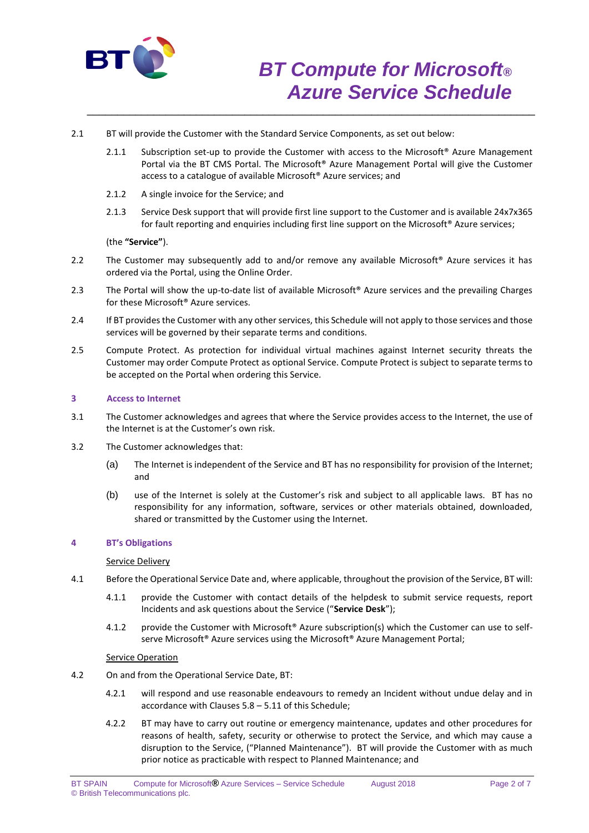

- 2.1 BT will provide the Customer with the Standard Service Components, as set out below:
	- 2.1.1 Subscription set-up to provide the Customer with access to the Microsoft<sup>®</sup> Azure Management Portal via the BT CMS Portal. The Microsoft® Azure Management Portal will give the Customer access to a catalogue of available Microsoft® Azure services; and

\_\_\_\_\_\_\_\_\_\_\_\_\_\_\_\_\_\_\_\_\_\_\_\_\_\_\_\_\_\_\_\_\_\_\_\_\_\_\_\_\_\_\_\_\_\_\_\_\_\_\_\_\_\_\_\_\_\_\_\_\_\_\_\_\_\_\_\_\_\_\_\_\_\_

- 2.1.2 A single invoice for the Service; and
- 2.1.3 Service Desk support that will provide first line support to the Customer and is available 24x7x365 for fault reporting and enquiries including first line support on the Microsoft® Azure services;

(the **"Service"**).

- 2.2 The Customer may subsequently add to and/or remove any available Microsoft<sup>®</sup> Azure services it has ordered via the Portal, using the Online Order.
- 2.3 The Portal will show the up-to-date list of available Microsoft® Azure services and the prevailing Charges for these Microsoft® Azure services.
- 2.4 If BT provides the Customer with any other services, this Schedule will not apply to those services and those services will be governed by their separate terms and conditions.
- 2.5 Compute Protect. As protection for individual virtual machines against Internet security threats the Customer may order Compute Protect as optional Service. Compute Protect is subject to separate terms to be accepted on the Portal when ordering this Service.

## **3 Access to Internet**

- 3.1 The Customer acknowledges and agrees that where the Service provides access to the Internet, the use of the Internet is at the Customer's own risk.
- 3.2 The Customer acknowledges that:
	- (a) The Internet is independent of the Service and BT has no responsibility for provision of the Internet; and
	- (b) use of the Internet is solely at the Customer's risk and subject to all applicable laws. BT has no responsibility for any information, software, services or other materials obtained, downloaded, shared or transmitted by the Customer using the Internet.

#### **4 BT's Obligations**

#### Service Delivery

- 4.1 Before the Operational Service Date and, where applicable, throughout the provision of the Service, BT will:
	- 4.1.1 provide the Customer with contact details of the helpdesk to submit service requests, report Incidents and ask questions about the Service ("**Service Desk**");
	- 4.1.2 provide the Customer with Microsoft® Azure subscription(s) which the Customer can use to selfserve Microsoft<sup>®</sup> Azure services using the Microsoft<sup>®</sup> Azure Management Portal;

#### Service Operation

- 4.2 On and from the Operational Service Date, BT:
	- 4.2.1 will respond and use reasonable endeavours to remedy an Incident without undue delay and in accordance with Clauses 5.8 – 5.11 of this Schedule;
	- 4.2.2 BT may have to carry out routine or emergency maintenance, updates and other procedures for reasons of health, safety, security or otherwise to protect the Service, and which may cause a disruption to the Service, ("Planned Maintenance"). BT will provide the Customer with as much prior notice as practicable with respect to Planned Maintenance; and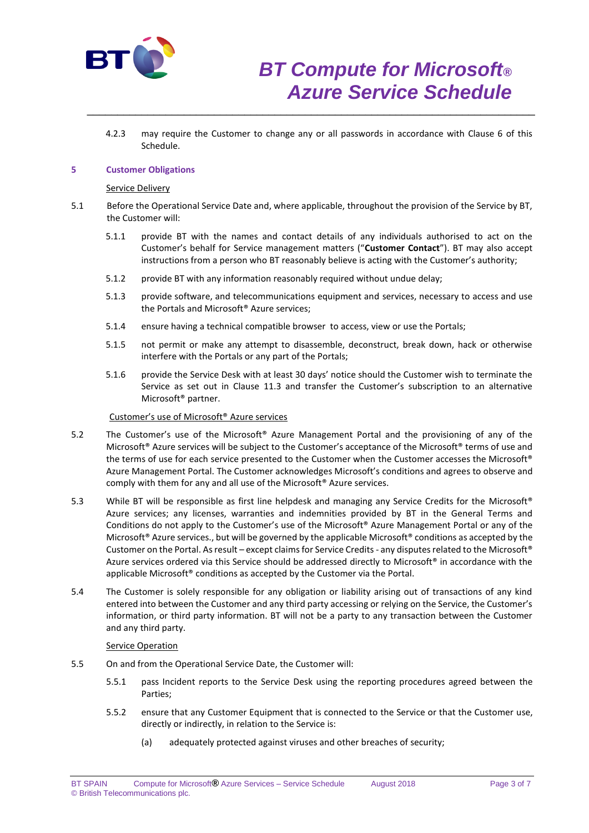

4.2.3 may require the Customer to change any or all passwords in accordance with Clause 6 of this Schedule.

\_\_\_\_\_\_\_\_\_\_\_\_\_\_\_\_\_\_\_\_\_\_\_\_\_\_\_\_\_\_\_\_\_\_\_\_\_\_\_\_\_\_\_\_\_\_\_\_\_\_\_\_\_\_\_\_\_\_\_\_\_\_\_\_\_\_\_\_\_\_\_\_\_\_

## **5 Customer Obligations**

#### Service Delivery

- 5.1 Before the Operational Service Date and, where applicable, throughout the provision of the Service by BT, the Customer will:
	- 5.1.1 provide BT with the names and contact details of any individuals authorised to act on the Customer's behalf for Service management matters ("**Customer Contact**"). BT may also accept instructions from a person who BT reasonably believe is acting with the Customer's authority;
	- 5.1.2 provide BT with any information reasonably required without undue delay;
	- 5.1.3 provide software, and telecommunications equipment and services, necessary to access and use the Portals and Microsoft® Azure services;
	- 5.1.4 ensure having a technical compatible browser to access, view or use the Portals;
	- 5.1.5 not permit or make any attempt to disassemble, deconstruct, break down, hack or otherwise interfere with the Portals or any part of the Portals;
	- 5.1.6 provide the Service Desk with at least 30 days' notice should the Customer wish to terminate the Service as set out in Clause 11.3 and transfer the Customer's subscription to an alternative Microsoft® partner.

## Customer's use of Microsoft® Azure services

- 5.2 The Customer's use of the Microsoft® Azure Management Portal and the provisioning of any of the Microsoft® Azure services will be subject to the Customer's acceptance of the Microsoft® terms of use and the terms of use for each service presented to the Customer when the Customer accesses the Microsoft® Azure Management Portal. The Customer acknowledges Microsoft's conditions and agrees to observe and comply with them for any and all use of the Microsoft® Azure services.
- 5.3 While BT will be responsible as first line helpdesk and managing any Service Credits for the Microsoft® Azure services; any licenses, warranties and indemnities provided by BT in the General Terms and Conditions do not apply to the Customer's use of the Microsoft® Azure Management Portal or any of the Microsoft<sup>®</sup> Azure services., but will be governed by the applicable Microsoft<sup>®</sup> conditions as accepted by the Customer on the Portal. As result – except claims for Service Credits - any disputes related to the Microsoft® Azure services ordered via this Service should be addressed directly to Microsoft® in accordance with the applicable Microsoft® conditions as accepted by the Customer via the Portal.
- 5.4 The Customer is solely responsible for any obligation or liability arising out of transactions of any kind entered into between the Customer and any third party accessing or relying on the Service, the Customer's information, or third party information. BT will not be a party to any transaction between the Customer and any third party.

#### Service Operation

- 5.5 On and from the Operational Service Date, the Customer will:
	- 5.5.1 pass Incident reports to the Service Desk using the reporting procedures agreed between the Parties;
	- 5.5.2 ensure that any Customer Equipment that is connected to the Service or that the Customer use, directly or indirectly, in relation to the Service is:
		- (a) adequately protected against viruses and other breaches of security;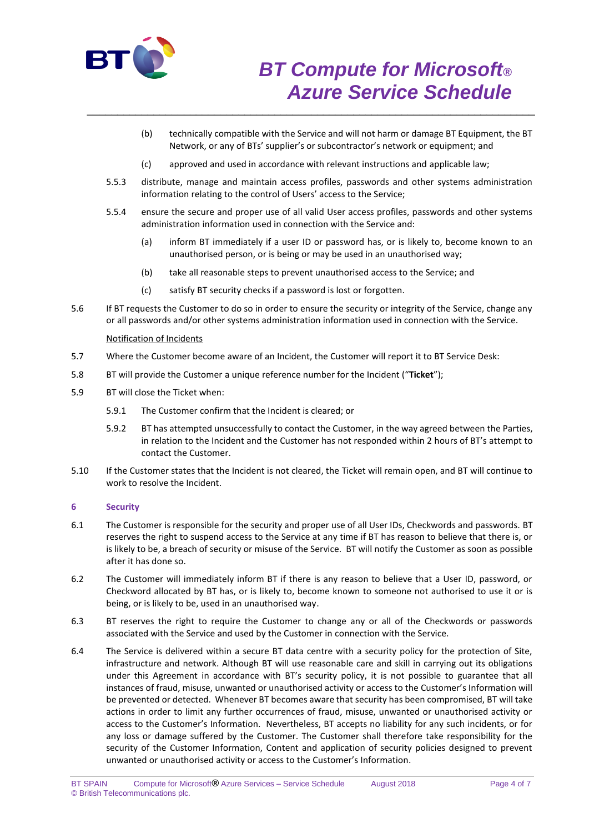

- (b) technically compatible with the Service and will not harm or damage BT Equipment, the BT Network, or any of BTs' supplier's or subcontractor's network or equipment; and
- (c) approved and used in accordance with relevant instructions and applicable law;

\_\_\_\_\_\_\_\_\_\_\_\_\_\_\_\_\_\_\_\_\_\_\_\_\_\_\_\_\_\_\_\_\_\_\_\_\_\_\_\_\_\_\_\_\_\_\_\_\_\_\_\_\_\_\_\_\_\_\_\_\_\_\_\_\_\_\_\_\_\_\_\_\_\_

- 5.5.3 distribute, manage and maintain access profiles, passwords and other systems administration information relating to the control of Users' access to the Service;
- 5.5.4 ensure the secure and proper use of all valid User access profiles, passwords and other systems administration information used in connection with the Service and:
	- (a) inform BT immediately if a user ID or password has, or is likely to, become known to an unauthorised person, or is being or may be used in an unauthorised way;
	- (b) take all reasonable steps to prevent unauthorised access to the Service; and
	- (c) satisfy BT security checks if a password is lost or forgotten.
- 5.6 If BT requests the Customer to do so in order to ensure the security or integrity of the Service, change any or all passwords and/or other systems administration information used in connection with the Service.

### Notification of Incidents

- 5.7 Where the Customer become aware of an Incident, the Customer will report it to BT Service Desk:
- 5.8 BT will provide the Customer a unique reference number for the Incident ("**Ticket**");
- 5.9 BT will close the Ticket when:
	- 5.9.1 The Customer confirm that the Incident is cleared; or
	- 5.9.2 BT has attempted unsuccessfully to contact the Customer, in the way agreed between the Parties, in relation to the Incident and the Customer has not responded within 2 hours of BT's attempt to contact the Customer.
- 5.10 If the Customer states that the Incident is not cleared, the Ticket will remain open, and BT will continue to work to resolve the Incident.

## **6 Security**

- 6.1 The Customer is responsible for the security and proper use of all User IDs, Checkwords and passwords. BT reserves the right to suspend access to the Service at any time if BT has reason to believe that there is, or is likely to be, a breach of security or misuse of the Service. BT will notify the Customer as soon as possible after it has done so.
- 6.2 The Customer will immediately inform BT if there is any reason to believe that a User ID, password, or Checkword allocated by BT has, or is likely to, become known to someone not authorised to use it or is being, or is likely to be, used in an unauthorised way.
- 6.3 BT reserves the right to require the Customer to change any or all of the Checkwords or passwords associated with the Service and used by the Customer in connection with the Service.
- 6.4 The Service is delivered within a secure BT data centre with a security policy for the protection of Site, infrastructure and network. Although BT will use reasonable care and skill in carrying out its obligations under this Agreement in accordance with BT's security policy, it is not possible to guarantee that all instances of fraud, misuse, unwanted or unauthorised activity or access to the Customer's Information will be prevented or detected. Whenever BT becomes aware that security has been compromised, BT will take actions in order to limit any further occurrences of fraud, misuse, unwanted or unauthorised activity or access to the Customer's Information. Nevertheless, BT accepts no liability for any such incidents, or for any loss or damage suffered by the Customer. The Customer shall therefore take responsibility for the security of the Customer Information, Content and application of security policies designed to prevent unwanted or unauthorised activity or access to the Customer's Information.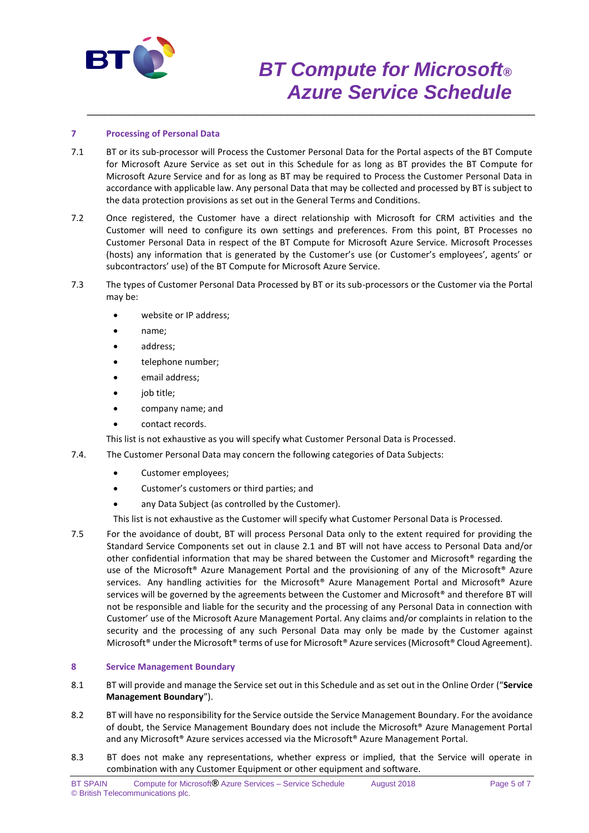

# *BT Compute for Microsoft® Azure Service Schedule*

# **7 Processing of Personal Data**

7.1 BT or its sub-processor will Process the Customer Personal Data for the Portal aspects of the BT Compute for Microsoft Azure Service as set out in this Schedule for as long as BT provides the BT Compute for Microsoft Azure Service and for as long as BT may be required to Process the Customer Personal Data in accordance with applicable law. Any personal Data that may be collected and processed by BT is subject to the data protection provisions as set out in the General Terms and Conditions.

\_\_\_\_\_\_\_\_\_\_\_\_\_\_\_\_\_\_\_\_\_\_\_\_\_\_\_\_\_\_\_\_\_\_\_\_\_\_\_\_\_\_\_\_\_\_\_\_\_\_\_\_\_\_\_\_\_\_\_\_\_\_\_\_\_\_\_\_\_\_\_\_\_\_

- 7.2 Once registered, the Customer have a direct relationship with Microsoft for CRM activities and the Customer will need to configure its own settings and preferences. From this point, BT Processes no Customer Personal Data in respect of the BT Compute for Microsoft Azure Service. Microsoft Processes (hosts) any information that is generated by the Customer's use (or Customer's employees', agents' or subcontractors' use) of the BT Compute for Microsoft Azure Service.
- 7.3 The types of Customer Personal Data Processed by BT or its sub-processors or the Customer via the Portal may be:
	- website or IP address;
	- name;
	- address;
	- telephone number;
	- email address;
	- job title;
	- company name; and
	- contact records.

This list is not exhaustive as you will specify what Customer Personal Data is Processed.

- 7.4. The Customer Personal Data may concern the following categories of Data Subjects:
	- Customer employees;
	- Customer's customers or third parties; and
	- any Data Subject (as controlled by the Customer).

This list is not exhaustive as the Customer will specify what Customer Personal Data is Processed.

7.5 For the avoidance of doubt, BT will process Personal Data only to the extent required for providing the Standard Service Components set out in clause 2.1 and BT will not have access to Personal Data and/or other confidential information that may be shared between the Customer and Microsoft® regarding the use of the Microsoft® Azure Management Portal and the provisioning of any of the Microsoft® Azure services. Any handling activities for the Microsoft® Azure Management Portal and Microsoft® Azure services will be governed by the agreements between the Customer and Microsoft® and therefore BT will not be responsible and liable for the security and the processing of any Personal Data in connection with Customer' use of the Microsoft Azure Management Portal. Any claims and/or complaints in relation to the security and the processing of any such Personal Data may only be made by the Customer against Microsoft® under the Microsoft® terms of use for Microsoft® Azure services (Microsoft® Cloud Agreement).

### **8 Service Management Boundary**

- 8.1 BT will provide and manage the Service set out in this Schedule and as set out in the Online Order ("**Service Management Boundary**").
- 8.2 BT will have no responsibility for the Service outside the Service Management Boundary. For the avoidance of doubt, the Service Management Boundary does not include the Microsoft® Azure Management Portal and any Microsoft® Azure services accessed via the Microsoft® Azure Management Portal.
- 8.3 BT does not make any representations, whether express or implied, that the Service will operate in combination with any Customer Equipment or other equipment and software.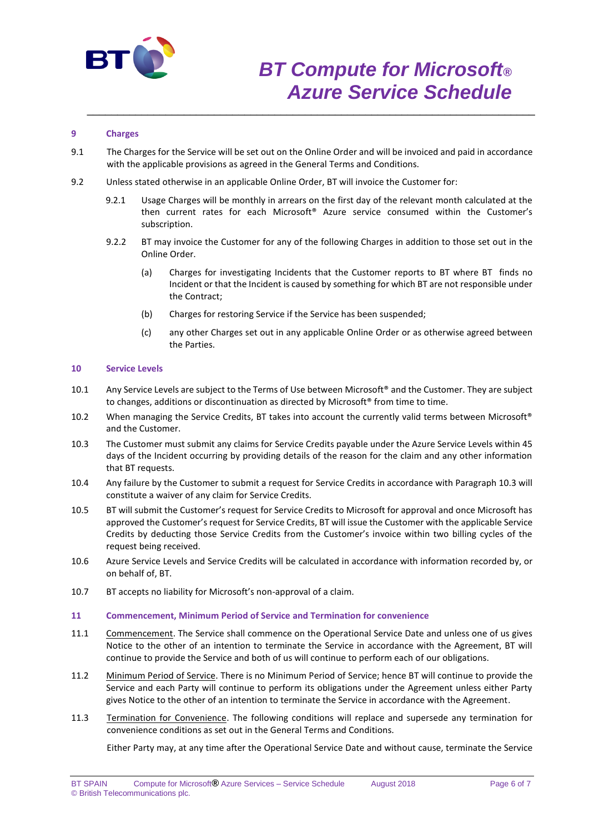

# *BT Compute for Microsoft® Azure Service Schedule*

# **9 Charges**

9.1 The Charges for the Service will be set out on the Online Order and will be invoiced and paid in accordance with the applicable provisions as agreed in the General Terms and Conditions.

\_\_\_\_\_\_\_\_\_\_\_\_\_\_\_\_\_\_\_\_\_\_\_\_\_\_\_\_\_\_\_\_\_\_\_\_\_\_\_\_\_\_\_\_\_\_\_\_\_\_\_\_\_\_\_\_\_\_\_\_\_\_\_\_\_\_\_\_\_\_\_\_\_\_

- 9.2 Unless stated otherwise in an applicable Online Order, BT will invoice the Customer for:
	- 9.2.1 Usage Charges will be monthly in arrears on the first day of the relevant month calculated at the then current rates for each Microsoft® Azure service consumed within the Customer's subscription.
	- 9.2.2 BT may invoice the Customer for any of the following Charges in addition to those set out in the Online Order.
		- (a) Charges for investigating Incidents that the Customer reports to BT where BT finds no Incident or that the Incident is caused by something for which BT are not responsible under the Contract;
		- (b) Charges for restoring Service if the Service has been suspended;
		- (c) any other Charges set out in any applicable Online Order or as otherwise agreed between the Parties.

### **10 Service Levels**

- 10.1 Any Service Levels are subject to the Terms of Use between Microsoft® and the Customer. They are subject to changes, additions or discontinuation as directed by Microsoft® from time to time.
- 10.2 When managing the Service Credits, BT takes into account the currently valid terms between Microsoft® and the Customer.
- 10.3 The Customer must submit any claims for Service Credits payable under the Azure Service Levels within 45 days of the Incident occurring by providing details of the reason for the claim and any other information that BT requests.
- 10.4 Any failure by the Customer to submit a request for Service Credits in accordance with Paragraph 10.3 will constitute a waiver of any claim for Service Credits.
- 10.5 BT will submit the Customer's request for Service Credits to Microsoft for approval and once Microsoft has approved the Customer's request for Service Credits, BT will issue the Customer with the applicable Service Credits by deducting those Service Credits from the Customer's invoice within two billing cycles of the request being received.
- 10.6 Azure Service Levels and Service Credits will be calculated in accordance with information recorded by, or on behalf of, BT.
- 10.7 BT accepts no liability for Microsoft's non-approval of a claim.

#### **11 Commencement, Minimum Period of Service and Termination for convenience**

- 11.1 Commencement. The Service shall commence on the Operational Service Date and unless one of us gives Notice to the other of an intention to terminate the Service in accordance with the Agreement, BT will continue to provide the Service and both of us will continue to perform each of our obligations.
- 11.2 Minimum Period of Service. There is no Minimum Period of Service; hence BT will continue to provide the Service and each Party will continue to perform its obligations under the Agreement unless either Party gives Notice to the other of an intention to terminate the Service in accordance with the Agreement.
- 11.3 Termination for Convenience. The following conditions will replace and supersede any termination for convenience conditions as set out in the General Terms and Conditions.

Either Party may, at any time after the Operational Service Date and without cause, terminate the Service